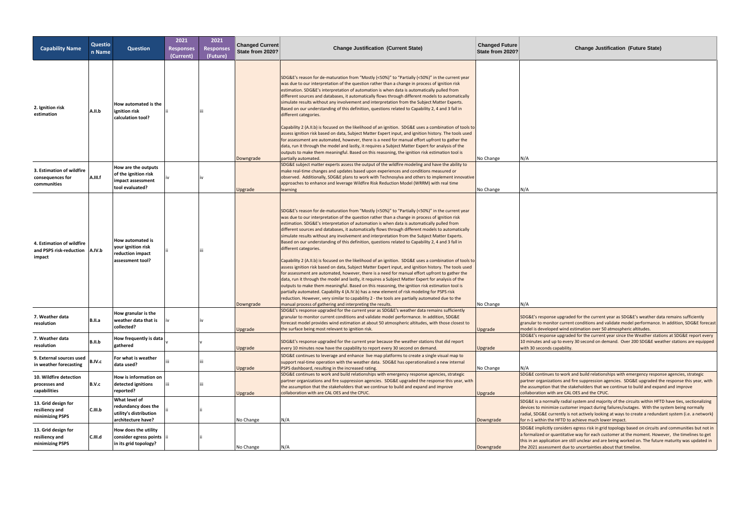| <b>Capability Name</b>                                         | Questio<br>n Name | <b>Question</b>                                                                      | 2021<br><b>Responses</b><br>(Current) | 2021<br><b>Responses</b><br>(Future) | <b>Changed Current</b><br>State from 2020? | <b>Change Justification (Current State)</b>                                                                                                                                                                                                                                                                                                                                                                                                                                                                                                                                                                                                                                                                                                                                                                                                                                                                                                                                                                                                                                                                                                                                                                                                                                                                                                                                                                                     | <b>Changed Future</b><br>State from 2020? | <b>Change Justification (Future State)</b>                                                                                                                                                                                                                                                                                                                                       |
|----------------------------------------------------------------|-------------------|--------------------------------------------------------------------------------------|---------------------------------------|--------------------------------------|--------------------------------------------|---------------------------------------------------------------------------------------------------------------------------------------------------------------------------------------------------------------------------------------------------------------------------------------------------------------------------------------------------------------------------------------------------------------------------------------------------------------------------------------------------------------------------------------------------------------------------------------------------------------------------------------------------------------------------------------------------------------------------------------------------------------------------------------------------------------------------------------------------------------------------------------------------------------------------------------------------------------------------------------------------------------------------------------------------------------------------------------------------------------------------------------------------------------------------------------------------------------------------------------------------------------------------------------------------------------------------------------------------------------------------------------------------------------------------------|-------------------------------------------|----------------------------------------------------------------------------------------------------------------------------------------------------------------------------------------------------------------------------------------------------------------------------------------------------------------------------------------------------------------------------------|
| 2. Ignition risk<br>estimation                                 | A.II.b            | How automated is the<br>ignition risk<br>calculation tool?                           |                                       |                                      | Downgrade                                  | SDG&E's reason for de-maturation from "Mostly (<50%)" to "Partially (<50%)" in the current year<br>was due to our interpretation of the question rather than a change in process of ignition risk<br>estimation. SDG&E's interpretation of automation is when data is automatically pulled from<br>different sources and databases, it automatically flows through different models to automatically<br>simulate results without any involvement and interpretation from the Subject Matter Experts.<br>Based on our understanding of this definition, questions related to Capability 2, 4 and 3 fall in<br>different categories.<br>Capability 2 (A.II.b) is focused on the likelihood of an ignition. SDG&E uses a combination of tools to<br>assess ignition risk based on data, Subject Matter Expert input, and ignition history. The tools used<br>for assessment are automated, however, there is a need for manual effort upfront to gather the<br>data, run it through the model and lastly, it requires a Subject Matter Expert for analysis of the<br>outputs to make them meaningful. Based on this reasoning, the ignition risk estimation tool is<br>partially automated.                                                                                                                                                                                                                                        | No Change                                 | N/A                                                                                                                                                                                                                                                                                                                                                                              |
| 3. Estimation of wildfire<br>consequences for<br>communities   | A.III.f           | How are the outputs<br>of the ignition risk<br>impact assessment<br>tool evaluated?  |                                       |                                      | Upgrade                                    | SDG&E subject matter experts assess the output of the wildfire modeling and have the ability to<br>make real-time changes and updates based upon experiences and conditions measured or<br>observed. Additionally, SDG&E plans to work with Technosylva and others to implement innovative<br>approaches to enhance and leverage Wildfire Risk Reduction Model (WRRM) with real time<br>learning                                                                                                                                                                                                                                                                                                                                                                                                                                                                                                                                                                                                                                                                                                                                                                                                                                                                                                                                                                                                                                | No Change                                 | N/A                                                                                                                                                                                                                                                                                                                                                                              |
| 4. Estimation of wildfire<br>and PSPS risk-reduction<br>impact | A.IV.b            | How automated is<br>your ignition risk<br>reduction impact<br>assessment tool?       |                                       |                                      | Downgrade                                  | SDG&E's reason for de-maturation from "Mostly (<50%)" to "Partially (<50%)" in the current year<br>was due to our interpretation of the question rather than a change in process of ignition risk<br>estimation. SDG&E's interpretation of automation is when data is automatically pulled from<br>different sources and databases, it automatically flows through different models to automatically<br>simulate results without any involvement and interpretation from the Subject Matter Experts.<br>Based on our understanding of this definition, questions related to Capability 2, 4 and 3 fall in<br>different categories.<br>Capability 2 (A.II.b) is focused on the likelihood of an ignition. SDG&E uses a combination of tools to<br>assess ignition risk based on data, Subject Matter Expert input, and ignition history. The tools used<br>for assessment are automated, however, there is a need for manual effort upfront to gather the<br>data, run it through the model and lastly, it requires a Subject Matter Expert for analysis of the<br>outputs to make them meaningful. Based on this reasoning, the ignition risk estimation tool is<br>partially automated. Capability 4 (A.IV.b) has a new element of risk modeling for PSPS risk<br>reduction. However, very similar to capability 2 - the tools are partially automated due to the<br>manual process of gathering and interpreting the results. | No Change                                 | N/A                                                                                                                                                                                                                                                                                                                                                                              |
| 7. Weather data<br>resolution                                  | B.II.a            | How granular is the<br>weather data that is<br>collected?                            |                                       |                                      | Upgrade                                    | SDG&E's response upgraded for the current year as SDG&E's weather data remains sufficiently<br>granular to monitor current conditions and validate model performance. In addition, SDG&E<br>forecast model provides wind estimation at about 50 atmospheric altitudes, with those closest to<br>the surface being most relevant to ignition risk.                                                                                                                                                                                                                                                                                                                                                                                                                                                                                                                                                                                                                                                                                                                                                                                                                                                                                                                                                                                                                                                                               | Upgrade                                   | SDG&E's response upgraded for the current year as SDG&E's weather data remains sufficiently<br>granular to monitor current conditions and validate model performance. In addition, SDG&E forecast<br>model is developed wind estimation over 50 atmospheric altitudes.                                                                                                           |
| 7. Weather data<br>resolution                                  | B.II.b            | How frequently is data<br>gathered                                                   |                                       |                                      | Upgrade                                    | SDG&E's response upgraded for the current year because the weather stations that did report<br>every 10 minutes now have the capability to report every 30 second on demand                                                                                                                                                                                                                                                                                                                                                                                                                                                                                                                                                                                                                                                                                                                                                                                                                                                                                                                                                                                                                                                                                                                                                                                                                                                     | Upgrade                                   | SDG&E's response upgraded for the current year since the Weather stations at SDG&E report every<br>10 minutes and up to every 30 second on demand. Over 200 SDG&E weather stations are equipped<br>with 30 seconds capability.                                                                                                                                                   |
| 9. External sources used<br>in weather forecasting             | B.IV.c            | For what is weather<br>data used?                                                    |                                       |                                      | Upgrade                                    | SDG&E continues to leverage and enhance live map platforms to create a single visual map to<br>support real-time operation with the weather data. SDG&E has operationalized a new internal<br>PSPS dashboard, resulting in the increased rating.                                                                                                                                                                                                                                                                                                                                                                                                                                                                                                                                                                                                                                                                                                                                                                                                                                                                                                                                                                                                                                                                                                                                                                                | No Change                                 |                                                                                                                                                                                                                                                                                                                                                                                  |
| 10. Wildfire detection<br>processes and<br>capabilities        | B.V.c             | How is information on<br>detected ignitions<br>reported?                             |                                       |                                      | Upgrade                                    | SDG&E continues to work and build relationships with emergency response agencies, strategic<br>partner organizations and fire suppression agencies. SDG&E upgraded the response this year, with<br>the assumption that the stakeholders that we continue to build and expand and improve<br>collaboration with are CAL OES and the CPUC.                                                                                                                                                                                                                                                                                                                                                                                                                                                                                                                                                                                                                                                                                                                                                                                                                                                                                                                                                                                                                                                                                        | Upgrade                                   | SDG&E continues to work and build relationships with emergency response agencies, strategic<br>partner organizations and fire suppression agencies. SDG&E upgraded the response this year, with<br>the assumption that the stakeholders that we continue to build and expand and improve<br>collaboration with are CAL OES and the CPUC.                                         |
| 13. Grid design for<br>resiliency and<br>minimizing PSPS       | C.III.b           | What level of<br>redundancy does the<br>utility's distribution<br>architecture have? |                                       |                                      | No Change                                  | N/A                                                                                                                                                                                                                                                                                                                                                                                                                                                                                                                                                                                                                                                                                                                                                                                                                                                                                                                                                                                                                                                                                                                                                                                                                                                                                                                                                                                                                             | Downgrade                                 | SDG&E is a normally radial system and majority of the circuits within HFTD have ties, sectionalizing<br>devices to minimize customer impact during failures/outages. With the system being normally<br>radial, SDG&E currently is not actively looking at ways to create a redundant system (i.e. a network)<br>for n-1 within the HFTD to achieve much lower impact.            |
| 13. Grid design for<br>resiliency and<br>minimizing PSPS       | C.III.d           | How does the utility<br>consider egress points<br>in its grid topology?              |                                       |                                      | No Change                                  | N/A                                                                                                                                                                                                                                                                                                                                                                                                                                                                                                                                                                                                                                                                                                                                                                                                                                                                                                                                                                                                                                                                                                                                                                                                                                                                                                                                                                                                                             | Downgrade                                 | SDG&E implicitly considers egress risk in grid topology based on circuits and communities but not in<br>a formalized or quantitative way for each customer at the moment. However, the timelines to get<br>this in an application are still unclear and are being worked on. The future maturity was updated in<br>the 2021 assessment due to uncertainties about that timeline. |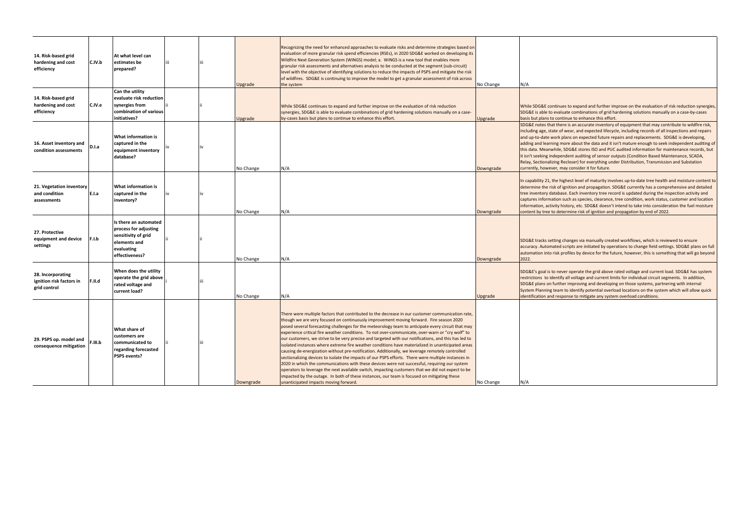| 14. Risk-based grid<br>hardening and cost<br>efficiency       | C.IV.b  | At what level can<br>estimates be<br>prepared?                                                                        |  | Upgrade   | Recognizing the need for enhanced approaches to evaluate risks and determine strategies based on<br>evaluation of more granular risk spend efficiencies (RSEs), in 2020 SDG&E worked on developing its<br>Wildfire Next Generation System (WiNGS) model; a. WiNGS is a new tool that enables more<br>granular risk assessments and alternatives analysis to be conducted at the segment (sub-circuit)<br>level with the objective of identifying solutions to reduce the impacts of PSPS and mitigate the risk<br>of wildfires. SDG&E is continuing to improve the model to get a granular assessment of risk across<br>the system                                                                                                                                                                                                                                                                                                                                                                                                                                                                                                                                         | No Change | N/A                                                                                                                                                                                                                                                                                                                                                                                                                                                                                                                                                                                                                                                                                                                                                                       |
|---------------------------------------------------------------|---------|-----------------------------------------------------------------------------------------------------------------------|--|-----------|----------------------------------------------------------------------------------------------------------------------------------------------------------------------------------------------------------------------------------------------------------------------------------------------------------------------------------------------------------------------------------------------------------------------------------------------------------------------------------------------------------------------------------------------------------------------------------------------------------------------------------------------------------------------------------------------------------------------------------------------------------------------------------------------------------------------------------------------------------------------------------------------------------------------------------------------------------------------------------------------------------------------------------------------------------------------------------------------------------------------------------------------------------------------------|-----------|---------------------------------------------------------------------------------------------------------------------------------------------------------------------------------------------------------------------------------------------------------------------------------------------------------------------------------------------------------------------------------------------------------------------------------------------------------------------------------------------------------------------------------------------------------------------------------------------------------------------------------------------------------------------------------------------------------------------------------------------------------------------------|
| 14. Risk-based grid<br>hardening and cost<br>efficiency       | C.IV.e  | Can the utility<br>evaluate risk reduction<br>synergies from<br>combination of various<br>initiatives?                |  | Upgrade   | While SDG&E continues to expand and further improve on the evaluation of risk reduction<br>synergies, SDG&E is able to evaluate combinations of grid hardening solutions manually on a case-<br>by-cases basis but plans to continue to enhance this effort.                                                                                                                                                                                                                                                                                                                                                                                                                                                                                                                                                                                                                                                                                                                                                                                                                                                                                                               | Upgrade   | While SDG&E continues to expand and further improve on the evaluation of risk reduction synergies<br>SDG&E is able to evaluate combinations of grid hardening solutions manually on a case-by-cases<br>basis but plans to continue to enhance this effort.                                                                                                                                                                                                                                                                                                                                                                                                                                                                                                                |
| 16. Asset inventory and<br>condition assessments              | D.I.a   | What information is<br>captured in the<br>equipment inventory<br>database?                                            |  | No Change | N/A                                                                                                                                                                                                                                                                                                                                                                                                                                                                                                                                                                                                                                                                                                                                                                                                                                                                                                                                                                                                                                                                                                                                                                        | Downgrade | SDG&E notes that there is an accurate inventory of equipment that may contribute to wildfire risk,<br>including age, state of wear, and expected lifecycle, including records of all inspections and repairs<br>and up-to-date work plans on expected future repairs and replacements. SDG&E is developing,<br>adding and learning more about the data and it isn't mature enough to seek independent auditing of<br>this data. Meanwhile, SDG&E stores ISO and PUC audited information for maintenance records, but<br>it isn't seeking independent auditing of sensor outputs (Condition Based Maintenance, SCADA,<br>Relay, Sectionalizing Recloser) for everything under Distribution, Transmission and Substation<br>currently, however, may consider it for future. |
| 21. Vegetation inventory<br>and condition<br>assessments      | E.I.a   | What information is<br>captured in the<br>inventory?                                                                  |  | No Change | N/A                                                                                                                                                                                                                                                                                                                                                                                                                                                                                                                                                                                                                                                                                                                                                                                                                                                                                                                                                                                                                                                                                                                                                                        | Downgrade | In capability 21, the highest level of maturity involves up-to-date tree health and moisture content to<br>determine the risk of ignition and propagation. SDG&E currently has a comprehensive and detailed<br>tree inventory database. Each inventory tree record is updated during the inspection activity and<br>captures information such as species, clearance, tree condition, work status, customer and location<br>information, activity history, etc. SDG&E doesn't intend to take into consideration the fuel moisture<br>content by tree to determine risk of ignition and propagation by end of 2022.                                                                                                                                                         |
| 27. Protective<br>equipment and device<br>settings            | F.I.b   | Is there an automated<br>process for adjusting<br>sensitivity of grid<br>elements and<br>evaluating<br>effectiveness? |  | No Change | N/A                                                                                                                                                                                                                                                                                                                                                                                                                                                                                                                                                                                                                                                                                                                                                                                                                                                                                                                                                                                                                                                                                                                                                                        | Downgrade | SDG&E tracks setting changes via manually created workflows, which is reviewed to ensure<br>accuracy. Automated scripts are initiated by operations to change field settings. SDG&E plans on full<br>automation into risk profiles by device for the future, however, this is something that will go beyond<br>2022.                                                                                                                                                                                                                                                                                                                                                                                                                                                      |
| 28. Incorporating<br>ignition risk factors in<br>grid control | F.II.d  | When does the utility<br>operate the grid above<br>rated voltage and<br>current load?                                 |  | No Change | N/A                                                                                                                                                                                                                                                                                                                                                                                                                                                                                                                                                                                                                                                                                                                                                                                                                                                                                                                                                                                                                                                                                                                                                                        | Jpgrade   | SDG&E's goal is to never operate the grid above rated voltage and current load. SDG&E has system<br>restrictions to identify all voltage and current limits for individual circuit segments. In addition,<br>SDG&E plans on further improving and developing on those systems, partnering with internal<br>System Planning team to identify potential overload locations on the system which will allow quick<br>identification and response to mitigate any system overload conditions.                                                                                                                                                                                                                                                                                  |
| 29. PSPS op. model and<br>consequence mitigation              | F.III.b | What share of<br>customers are<br>communicated to<br>regarding forecasted<br>PSPS events?                             |  | Downgrade | There were multiple factors that contributed to the decrease in our customer communication rate,<br>though we are very focused on continuously improvement moving forward. Fire season 2020<br>posed several forecasting challenges for the meteorology team to anticipate every circuit that may<br>experience critical fire weather conditions. To not over-communicate, over-warn or "cry wolf" to<br>our customers, we strive to be very precise and targeted with our notifications, and this has led to<br>isolated instances where extreme fire weather conditions have materialized in unanticipated areas<br>causing de-energization without pre-notification. Additionally, we leverage remotely controlled<br>sectionalizing devices to isolate the impacts of our PSPS efforts. There were multiple instances in<br>2020 in which the communications with these devices were not successful, requiring our system<br>operators to leverage the next available switch, impacting customers that we did not expect to be<br>impacted by the outage. In both of these instances, our team is focused on mitigating these<br>unanticipated impacts moving forward. | No Change | N/A                                                                                                                                                                                                                                                                                                                                                                                                                                                                                                                                                                                                                                                                                                                                                                       |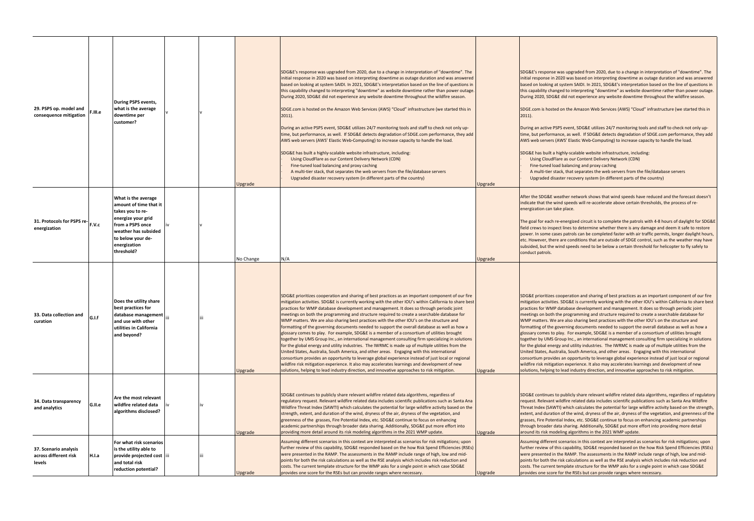| 29. PSPS op. model and<br>consequence mitigation         | F.III.e | During PSPS events,<br>what is the average<br>downtime per<br>customer?                                                                                                                |  | Upgrade   | SDG&E's response was upgraded from 2020, due to a change in interpretation of "downtime". The<br>initial response in 2020 was based on interpreting downtime as outage duration and was answered<br>based on looking at system SAIDI. In 2021, SDG&E's interpretation based on the line of questions in<br>this capability changed to interpreting "downtime" as website downtime rather than power outage.<br>During 2020, SDG&E did not experience any website downtime throughout the wildfire season.<br>SDGE.com is hosted on the Amazon Web Services (AWS) "Cloud" infrastructure (we started this in<br>$2011$ ).<br>During an active PSPS event, SDG&E utilizes 24/7 monitoring tools and staff to check not only up-<br>time, but performance, as well. If SDG&E detects degradation of SDGE.com performance, they add<br>AWS web servers (AWS' Elastic Web-Computing) to increase capacity to handle the load.<br>SDG&E has built a highly-scalable website infrastructure, including:<br>Using CloudFlare as our Content Delivery Network (CDN)<br>Fine-tuned load balancing and proxy caching<br>A multi-tier stack, that separates the web servers from the file/database servers<br>Upgraded disaster recovery system (in different parts of the country)                                           | Upgrade | SDG&E's response was upgraded from 2020, due to a change in interpretation of "downtime". The<br>initial response in 2020 was based on interpreting downtime as outage duration and was answered<br>based on looking at system SAIDI. In 2021, SDG&E's interpretation based on the line of questions in<br>this capability changed to interpreting "downtime" as website downtime rather than power outage.<br>During 2020, SDG&E did not experience any website downtime throughout the wildfire season.<br>SDGE.com is hosted on the Amazon Web Services (AWS) "Cloud" infrastructure (we started this in<br>$2011$ ).<br>During an active PSPS event, SDG&E utilizes 24/7 monitoring tools and staff to check not only up-<br>time, but performance, as well. If SDG&E detects degradation of SDGE.com performance, they add<br>AWS web servers (AWS' Elastic Web-Computing) to increase capacity to handle the load.<br>SDG&E has built a highly-scalable website infrastructure, including:<br>Using CloudFlare as our Content Delivery Network (CDN)<br>Fine-tuned load balancing and proxy caching<br>A multi-tier stack, that separates the web servers from the file/database servers<br>Upgraded disaster recovery system (in different parts of the country)                                            |
|----------------------------------------------------------|---------|----------------------------------------------------------------------------------------------------------------------------------------------------------------------------------------|--|-----------|-------------------------------------------------------------------------------------------------------------------------------------------------------------------------------------------------------------------------------------------------------------------------------------------------------------------------------------------------------------------------------------------------------------------------------------------------------------------------------------------------------------------------------------------------------------------------------------------------------------------------------------------------------------------------------------------------------------------------------------------------------------------------------------------------------------------------------------------------------------------------------------------------------------------------------------------------------------------------------------------------------------------------------------------------------------------------------------------------------------------------------------------------------------------------------------------------------------------------------------------------------------------------------------------------------------------|---------|--------------------------------------------------------------------------------------------------------------------------------------------------------------------------------------------------------------------------------------------------------------------------------------------------------------------------------------------------------------------------------------------------------------------------------------------------------------------------------------------------------------------------------------------------------------------------------------------------------------------------------------------------------------------------------------------------------------------------------------------------------------------------------------------------------------------------------------------------------------------------------------------------------------------------------------------------------------------------------------------------------------------------------------------------------------------------------------------------------------------------------------------------------------------------------------------------------------------------------------------------------------------------------------------------------------------|
| 31. Protocols for PSPS re-<br>energization               |         | What is the average<br>amount of time that it<br>takes you to re-<br>energize your grid<br>from a PSPS once<br>weather has subsided<br>to below your de-<br>energization<br>threshold? |  | No Change | N/A                                                                                                                                                                                                                                                                                                                                                                                                                                                                                                                                                                                                                                                                                                                                                                                                                                                                                                                                                                                                                                                                                                                                                                                                                                                                                                               | Upgrade | After the SDG&E weather network shows that wind speeds have reduced and the forecast doesn't<br>indicate that the wind speeds will re-accelerate above certain thresholds, the process of re-<br>energization can take place.<br>The goal for each re-energized circuit is to complete the patrols with 4-8 hours of daylight for SDG&E<br>field crews to inspect lines to determine whether there is any damage and deem it safe to restore<br>power. In some cases patrols can be completed faster with air traffic permits, longer daylight hours,<br>etc. However, there are conditions that are outside of SDGE control, such as the weather may have<br>subsided, but the wind speeds need to be below a certain threshold for helicopter to fly safely to<br>conduct patrols.                                                                                                                                                                                                                                                                                                                                                                                                                                                                                                                               |
| 33. Data collection and<br>curation                      | G.I.f   | Does the utility share<br>best practices for<br>database management<br>and use with other<br>utilities in California<br>and beyond?                                                    |  | Upgrade   | SDG&E prioritizes cooperation and sharing of best practices as an important component of our fire<br>mitigation activities. SDG&E is currently working with the other IOU's within California to share best<br>practices for WMP database development and management. It does so through periodic joint<br>meetings on both the programming and structure required to create a searchable database for<br>WMP matters. We are also sharing best practices with the other IOU's on the structure and<br>formatting of the governing documents needed to support the overall database as well as how a<br>glossary comes to play. For example, SDG&E is a member of a consortium of utilities brought<br>together by UMS Group Inc., an international management consulting firm specializing in solutions<br>for the global energy and utility industries. The IWRMC is made up of multiple utilities from the<br>United States, Australia, South America, and other areas. Engaging with this international<br>consortium provides an opportunity to leverage global experience instead of just local or regional<br>wildfire risk mitigation experience. It also may accelerates learnings and development of new<br>olutions, helping to lead industry direction, and innovative approaches to risk mitigation. | Upgrade | SDG&E prioritizes cooperation and sharing of best practices as an important component of our fire<br>mitigation activities. SDG&E is currently working with the other IOU's within California to share best<br>practices for WMP database development and management. It does so through periodic joint<br>meetings on both the programming and structure required to create a searchable database for<br>WMP matters. We are also sharing best practices with the other IOU's on the structure and<br>formatting of the governing documents needed to support the overall database as well as how a<br>glossary comes to play. For example, SDG&E is a member of a consortium of utilities brought<br>together by UMS Group Inc., an international management consulting firm specializing in solutions<br>for the global energy and utility industries. The IWRMC is made up of multiple utilities from the<br>United States, Australia, South America, and other areas. Engaging with this international<br>consortium provides an opportunity to leverage global experience instead of just local or regional<br>wildfire risk mitigation experience. It also may accelerates learnings and development of new<br>solutions, helping to lead industry direction, and innovative approaches to risk mitigation. |
| 34. Data transparency<br>and analytics                   | G.II.e  | Are the most relevant<br>wildfire related data<br>algorithms disclosed?                                                                                                                |  | Upgrade   | SDG&E continues to publicly share relevant wildfire related data algorithms, regardless of<br>regulatory request. Relevant wildfire related data includes scientific publications such as Santa Ana<br>Wildfire Threat Index (SAWTI) which calculates the potential for large wildfire activity based on the<br>strength, extent, and duration of the wind, dryness of the air, dryness of the vegetation, and<br>greenness of the grasses, Fire Potential Index, etc. SDG&E continue to focus on enhancing<br>academic partnerships through broader data sharing. Additionally, SDG&E put more effort into<br>providing more detail around its risk modeling algorithms in the 2021 WMP update.                                                                                                                                                                                                                                                                                                                                                                                                                                                                                                                                                                                                                  | Upgrade | SDG&E continues to publicly share relevant wildfire related data algorithms, regardless of regulatory<br>request. Relevant wildfire related data includes scientific publications such as Santa Ana Wildfire<br>Threat Index (SAWTI) which calculates the potential for large wildfire activity based on the strength,<br>extent, and duration of the wind, dryness of the air, dryness of the vegetation, and greenness of the<br>grasses, Fire Potential Index, etc. SDG&E continue to focus on enhancing academic partnerships<br>through broader data sharing. Additionally, SDG&E put more effort into providing more detail<br>around its risk modeling algorithms in the 2021 WMP update.                                                                                                                                                                                                                                                                                                                                                                                                                                                                                                                                                                                                                   |
| 37. Scenario analysis<br>across different risk<br>levels | H.I.a   | For what risk scenarios<br>is the utility able to<br>provide projected cost iii<br>and total risk<br>reduction potential?                                                              |  | Upgrade   | Assuming different scenarios in this context are interpreted as scenarios for risk mitigations; upon<br>further review of this capability, SDG&E responded based on the how Risk Spend Efficiencies (RSEs)<br>were presented in the RAMP. The assessments in the RAMP include range of high, low and mid-<br>points for both the risk calculations as well as the RSE analysis which includes risk reduction and<br>costs. The current template structure for the WMP asks for a single point in which case SDG&E<br>provides one score for the RSEs but can provide ranges where necessary.                                                                                                                                                                                                                                                                                                                                                                                                                                                                                                                                                                                                                                                                                                                      | Upgrade | Assuming different scenarios in this context are interpreted as scenarios for risk mitigations; upon<br>further review of this capability, SDG&E responded based on the how Risk Spend Efficiencies (RSEs)<br>were presented in the RAMP. The assessments in the RAMP include range of high, low and mid-<br>points for both the risk calculations as well as the RSE analysis which includes risk reduction and<br>costs. The current template structure for the WMP asks for a single point in which case SDG&E<br>provides one score for the RSEs but can provide ranges where necessary.                                                                                                                                                                                                                                                                                                                                                                                                                                                                                                                                                                                                                                                                                                                       |